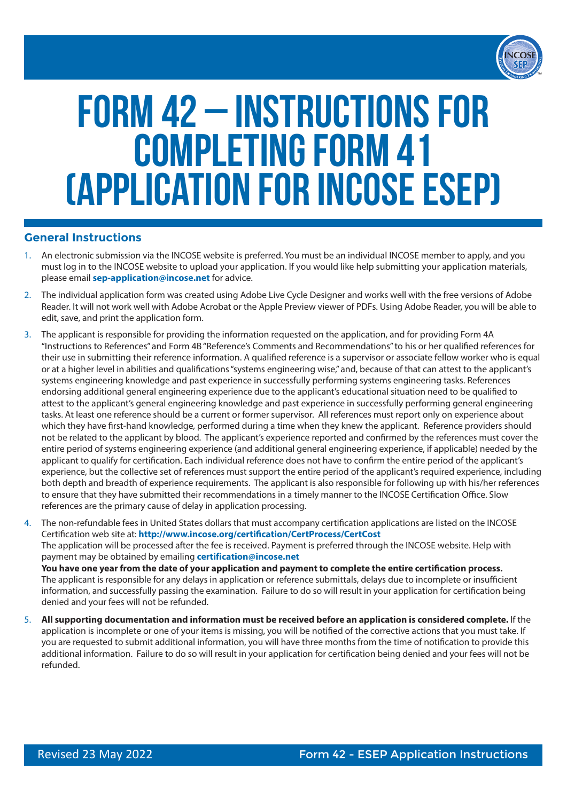

# Form 42 – Instructions for Completing Form 41 (Application for INCOSE ESEP)

## **General Instructions**

- 1. An electronic submission via the INCOSE website is preferred. You must be an individual INCOSE member to apply, and you must log in to the INCOSE website to upload your application. If you would like help submitting your application materials, please email **sep-application@incose.net** for advice.
- 2. The individual application form was created using Adobe Live Cycle Designer and works well with the free versions of Adobe Reader. It will not work well with Adobe Acrobat or the Apple Preview viewer of PDFs. Using Adobe Reader, you will be able to edit, save, and print the application form.
- 3. The applicant is responsible for providing the information requested on the application, and for providing Form 4A "Instructions to References" and Form 4B "Reference's Comments and Recommendations" to his or her qualified references for their use in submitting their reference information. A qualified reference is a supervisor or associate fellow worker who is equal or at a higher level in abilities and qualifications "systems engineering wise," and, because of that can attest to the applicant's systems engineering knowledge and past experience in successfully performing systems engineering tasks. References endorsing additional general engineering experience due to the applicant's educational situation need to be qualified to attest to the applicant's general engineering knowledge and past experience in successfully performing general engineering tasks. At least one reference should be a current or former supervisor. All references must report only on experience about which they have first-hand knowledge, performed during a time when they knew the applicant. Reference providers should not be related to the applicant by blood. The applicant's experience reported and confirmed by the references must cover the entire period of systems engineering experience (and additional general engineering experience, if applicable) needed by the applicant to qualify for certification. Each individual reference does not have to confirm the entire period of the applicant's experience, but the collective set of references must support the entire period of the applicant's required experience, including both depth and breadth of experience requirements. The applicant is also responsible for following up with his/her references to ensure that they have submitted their recommendations in a timely manner to the INCOSE Certification Office. Slow references are the primary cause of delay in application processing.
- 4. The non-refundable fees in United States dollars that must accompany certification applications are listed on the INCOSE Certification web site at: **http://www.incose.org/certification/CertProcess/CertCost** The application will be processed after the fee is received. Payment is preferred through the INCOSE website. Help with payment may be obtained by emailing **certification@incose.net You have one year from the date of your application and payment to complete the entire certification process.** The applicant is responsible for any delays in application or reference submittals, delays due to incomplete or insufficient information, and successfully passing the examination. Failure to do so will result in your application for certification being denied and your fees will not be refunded.
- 5. **All supporting documentation and information must be received before an application is considered complete.** If the application is incomplete or one of your items is missing, you will be notified of the corrective actions that you must take. If you are requested to submit additional information, you will have three months from the time of notification to provide this additional information. Failure to do so will result in your application for certification being denied and your fees will not be refunded.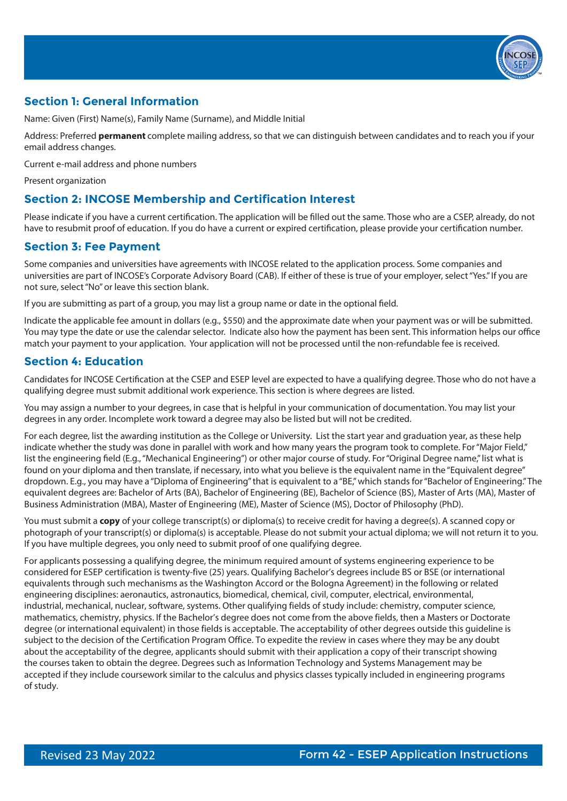

# **Section 1: General Information**

Name: Given (First) Name(s), Family Name (Surname), and Middle Initial

Address: Preferred **permanent** complete mailing address, so that we can distinguish between candidates and to reach you if your email address changes.

Current e-mail address and phone numbers

Present organization

## **Section 2: INCOSE Membership and Certification Interest**

Please indicate if you have a current certification. The application will be filled out the same. Those who are a CSEP, already, do not have to resubmit proof of education. If you do have a current or expired certification, please provide your certification number.

## **Section 3: Fee Payment**

Some companies and universities have agreements with INCOSE related to the application process. Some companies and universities are part of INCOSE's Corporate Advisory Board (CAB). If either of these is true of your employer, select "Yes." If you are not sure, select "No" or leave this section blank.

If you are submitting as part of a group, you may list a group name or date in the optional field.

Indicate the applicable fee amount in dollars (e.g., \$550) and the approximate date when your payment was or will be submitted. You may type the date or use the calendar selector. Indicate also how the payment has been sent. This information helps our office match your payment to your application. Your application will not be processed until the non-refundable fee is received.

## **Section 4: Education**

Candidates for INCOSE Certification at the CSEP and ESEP level are expected to have a qualifying degree. Those who do not have a qualifying degree must submit additional work experience. This section is where degrees are listed.

You may assign a number to your degrees, in case that is helpful in your communication of documentation. You may list your degrees in any order. Incomplete work toward a degree may also be listed but will not be credited.

For each degree, list the awarding institution as the College or University. List the start year and graduation year, as these help indicate whether the study was done in parallel with work and how many years the program took to complete. For "Major Field," list the engineering field (E.g., "Mechanical Engineering") or other major course of study. For "Original Degree name," list what is found on your diploma and then translate, if necessary, into what you believe is the equivalent name in the "Equivalent degree" dropdown. E.g., you may have a "Diploma of Engineering" that is equivalent to a "BE," which stands for "Bachelor of Engineering." The equivalent degrees are: Bachelor of Arts (BA), Bachelor of Engineering (BE), Bachelor of Science (BS), Master of Arts (MA), Master of Business Administration (MBA), Master of Engineering (ME), Master of Science (MS), Doctor of Philosophy (PhD).

You must submit a **copy** of your college transcript(s) or diploma(s) to receive credit for having a degree(s). A scanned copy or photograph of your transcript(s) or diploma(s) is acceptable. Please do not submit your actual diploma; we will not return it to you. If you have multiple degrees, you only need to submit proof of one qualifying degree.

For applicants possessing a qualifying degree, the minimum required amount of systems engineering experience to be considered for ESEP certification is twenty-five (25) years. Qualifying Bachelor's degrees include BS or BSE (or international equivalents through such mechanisms as the Washington Accord or the Bologna Agreement) in the following or related engineering disciplines: aeronautics, astronautics, biomedical, chemical, civil, computer, electrical, environmental, industrial, mechanical, nuclear, software, systems. Other qualifying fields of study include: chemistry, computer science, mathematics, chemistry, physics. If the Bachelor's degree does not come from the above fields, then a Masters or Doctorate degree (or international equivalent) in those fields is acceptable. The acceptability of other degrees outside this guideline is subject to the decision of the Certification Program Office. To expedite the review in cases where they may be any doubt about the acceptability of the degree, applicants should submit with their application a copy of their transcript showing the courses taken to obtain the degree. Degrees such as Information Technology and Systems Management may be accepted if they include coursework similar to the calculus and physics classes typically included in engineering programs of study.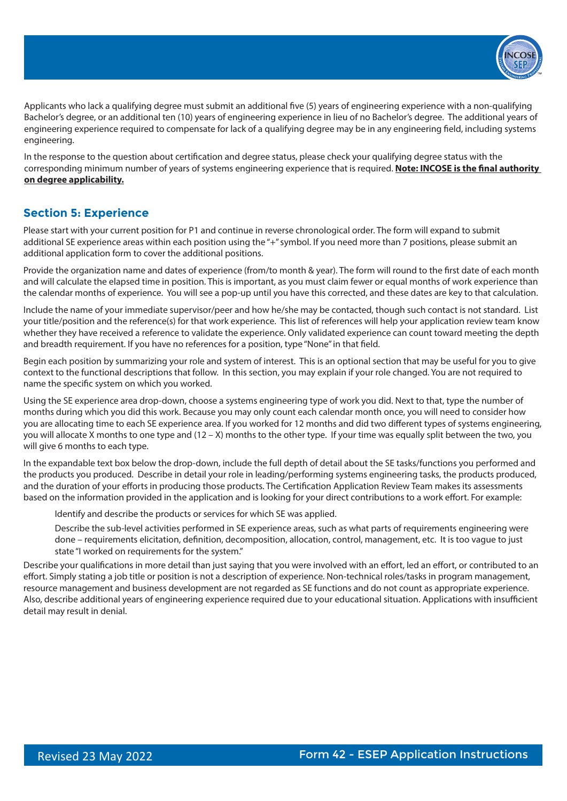

Applicants who lack a qualifying degree must submit an additional five (5) years of engineering experience with a non-qualifying Bachelor's degree, or an additional ten (10) years of engineering experience in lieu of no Bachelor's degree. The additional years of engineering experience required to compensate for lack of a qualifying degree may be in any engineering field, including systems engineering.

In the response to the question about certification and degree status, please check your qualifying degree status with the corresponding minimum number of years of systems engineering experience that is required. **Note: INCOSE is the final authority on degree applicability.**

## **Section 5: Experience**

Please start with your current position for P1 and continue in reverse chronological order. The form will expand to submit additional SE experience areas within each position using the "+" symbol. If you need more than 7 positions, please submit an additional application form to cover the additional positions.

Provide the organization name and dates of experience (from/to month & year). The form will round to the first date of each month and will calculate the elapsed time in position. This is important, as you must claim fewer or equal months of work experience than the calendar months of experience. You will see a pop-up until you have this corrected, and these dates are key to that calculation.

Include the name of your immediate supervisor/peer and how he/she may be contacted, though such contact is not standard. List your title/position and the reference(s) for that work experience. This list of references will help your application review team know whether they have received a reference to validate the experience. Only validated experience can count toward meeting the depth and breadth requirement. If you have no references for a position, type "None" in that field.

Begin each position by summarizing your role and system of interest. This is an optional section that may be useful for you to give context to the functional descriptions that follow. In this section, you may explain if your role changed. You are not required to name the specific system on which you worked.

Using the SE experience area drop-down, choose a systems engineering type of work you did. Next to that, type the number of months during which you did this work. Because you may only count each calendar month once, you will need to consider how you are allocating time to each SE experience area. If you worked for 12 months and did two different types of systems engineering, you will allocate X months to one type and (12 – X) months to the other type. If your time was equally split between the two, you will give 6 months to each type.

In the expandable text box below the drop-down, include the full depth of detail about the SE tasks/functions you performed and the products you produced. Describe in detail your role in leading/performing systems engineering tasks, the products produced, and the duration of your efforts in producing those products. The Certification Application Review Team makes its assessments based on the information provided in the application and is looking for your direct contributions to a work effort. For example:

Identify and describe the products or services for which SE was applied.

Describe the sub-level activities performed in SE experience areas, such as what parts of requirements engineering were done – requirements elicitation, definition, decomposition, allocation, control, management, etc. It is too vague to just state "I worked on requirements for the system."

Describe your qualifications in more detail than just saying that you were involved with an effort, led an effort, or contributed to an effort. Simply stating a job title or position is not a description of experience. Non-technical roles/tasks in program management, resource management and business development are not regarded as SE functions and do not count as appropriate experience. Also, describe additional years of engineering experience required due to your educational situation. Applications with insufficient detail may result in denial.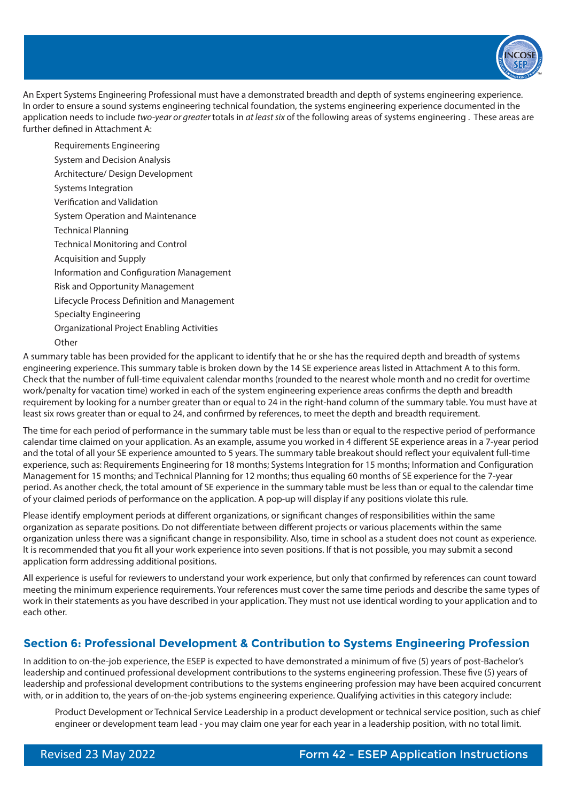

An Expert Systems Engineering Professional must have a demonstrated breadth and depth of systems engineering experience. In order to ensure a sound systems engineering technical foundation, the systems engineering experience documented in the application needs to include *two-year or greater* totals in *at least six* of the following areas of systems engineering . These areas are further defined in Attachment A:

Specialty Engineering Organizational Project Enabling Activities **Other** Requirements Engineering System and Decision Analysis Architecture/ Design Development Systems Integration Verification and Validation System Operation and Maintenance Technical Planning Technical Monitoring and Control Acquisition and Supply Information and Configuration Management Risk and Opportunity Management Lifecycle Process Definition and Management

A summary table has been provided for the applicant to identify that he or she has the required depth and breadth of systems engineering experience. This summary table is broken down by the 14 SE experience areas listed in Attachment A to this form. Check that the number of full-time equivalent calendar months (rounded to the nearest whole month and no credit for overtime work/penalty for vacation time) worked in each of the system engineering experience areas confirms the depth and breadth requirement by looking for a number greater than or equal to 24 in the right-hand column of the summary table. You must have at least six rows greater than or equal to 24, and confirmed by references, to meet the depth and breadth requirement.

The time for each period of performance in the summary table must be less than or equal to the respective period of performance calendar time claimed on your application. As an example, assume you worked in 4 different SE experience areas in a 7-year period and the total of all your SE experience amounted to 5 years. The summary table breakout should reflect your equivalent full-time experience, such as: Requirements Engineering for 18 months; Systems Integration for 15 months; Information and Configuration Management for 15 months; and Technical Planning for 12 months; thus equaling 60 months of SE experience for the 7-year period. As another check, the total amount of SE experience in the summary table must be less than or equal to the calendar time of your claimed periods of performance on the application. A pop-up will display if any positions violate this rule.

Please identify employment periods at different organizations, or significant changes of responsibilities within the same organization as separate positions. Do not differentiate between different projects or various placements within the same organization unless there was a significant change in responsibility. Also, time in school as a student does not count as experience. It is recommended that you fit all your work experience into seven positions. If that is not possible, you may submit a second application form addressing additional positions.

All experience is useful for reviewers to understand your work experience, but only that confirmed by references can count toward meeting the minimum experience requirements. Your references must cover the same time periods and describe the same types of work in their statements as you have described in your application. They must not use identical wording to your application and to each other.

# **Section 6: Professional Development & Contribution to Systems Engineering Profession**

In addition to on-the-job experience, the ESEP is expected to have demonstrated a minimum of five (5) years of post-Bachelor's leadership and continued professional development contributions to the systems engineering profession. These five (5) years of leadership and professional development contributions to the systems engineering profession may have been acquired concurrent with, or in addition to, the years of on-the-job systems engineering experience. Qualifying activities in this category include:

Product Development or Technical Service Leadership in a product development or technical service position, such as chief engineer or development team lead - you may claim one year for each year in a leadership position, with no total limit.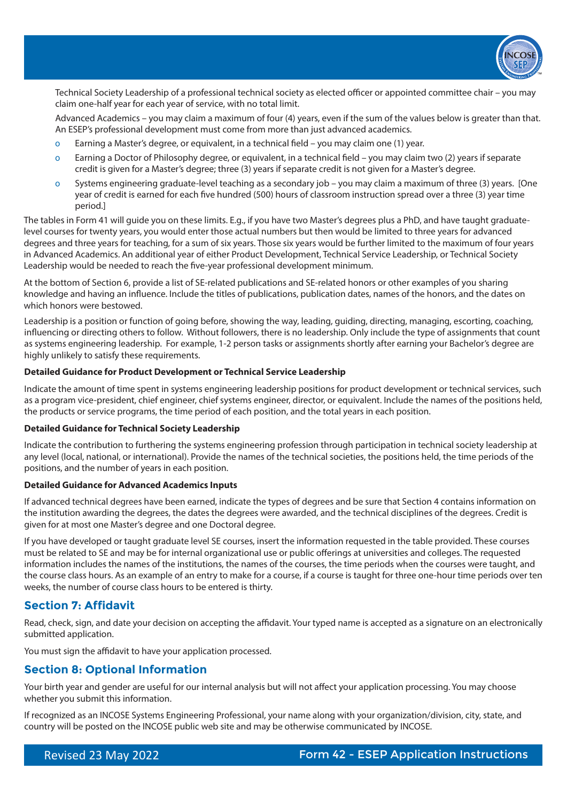

Technical Society Leadership of a professional technical society as elected officer or appointed committee chair – you may claim one-half year for each year of service, with no total limit.

Advanced Academics – you may claim a maximum of four (4) years, even if the sum of the values below is greater than that. An ESEP's professional development must come from more than just advanced academics.

- o Earning a Master's degree, or equivalent, in a technical field you may claim one (1) year.
- Ĕ Earning a Doctor of Philosophy degree, or equivalent, in a technical field you may claim two (2) years if separate credit is given for a Master's degree; three (3) years if separate credit is not given for a Master's degree.
- o Systems engineering graduate-level teaching as a secondary job you may claim a maximum of three (3) years. [One year of credit is earned for each five hundred (500) hours of classroom instruction spread over a three (3) year time period.]

The tables in Form 41 will guide you on these limits. E.g., if you have two Master's degrees plus a PhD, and have taught graduatelevel courses for twenty years, you would enter those actual numbers but then would be limited to three years for advanced degrees and three years for teaching, for a sum of six years. Those six years would be further limited to the maximum of four years in Advanced Academics. An additional year of either Product Development, Technical Service Leadership, or Technical Society Leadership would be needed to reach the five-year professional development minimum.

At the bottom of Section 6, provide a list of SE-related publications and SE-related honors or other examples of you sharing knowledge and having an influence. Include the titles of publications, publication dates, names of the honors, and the dates on which honors were bestowed.

Leadership is a position or function of going before, showing the way, leading, guiding, directing, managing, escorting, coaching, influencing or directing others to follow. Without followers, there is no leadership. Only include the type of assignments that count as systems engineering leadership. For example, 1-2 person tasks or assignments shortly after earning your Bachelor's degree are highly unlikely to satisfy these requirements.

#### **Detailed Guidance for Product Development or Technical Service Leadership**

Indicate the amount of time spent in systems engineering leadership positions for product development or technical services, such as a program vice-president, chief engineer, chief systems engineer, director, or equivalent. Include the names of the positions held, the products or service programs, the time period of each position, and the total years in each position.

#### **Detailed Guidance for Technical Society Leadership**

Indicate the contribution to furthering the systems engineering profession through participation in technical society leadership at any level (local, national, or international). Provide the names of the technical societies, the positions held, the time periods of the positions, and the number of years in each position.

#### **Detailed Guidance for Advanced Academics Inputs**

If advanced technical degrees have been earned, indicate the types of degrees and be sure that Section 4 contains information on the institution awarding the degrees, the dates the degrees were awarded, and the technical disciplines of the degrees. Credit is given for at most one Master's degree and one Doctoral degree.

If you have developed or taught graduate level SE courses, insert the information requested in the table provided. These courses must be related to SE and may be for internal organizational use or public offerings at universities and colleges. The requested information includes the names of the institutions, the names of the courses, the time periods when the courses were taught, and the course class hours. As an example of an entry to make for a course, if a course is taught for three one-hour time periods over ten weeks, the number of course class hours to be entered is thirty.

### **Section 7: Affidavit**

Read, check, sign, and date your decision on accepting the affidavit. Your typed name is accepted as a signature on an electronically submitted application.

You must sign the affidavit to have your application processed.

## **Section 8: Optional Information**

Your birth year and gender are useful for our internal analysis but will not affect your application processing. You may choose whether you submit this information.

If recognized as an INCOSE Systems Engineering Professional, your name along with your organization/division, city, state, and country will be posted on the INCOSE public web site and may be otherwise communicated by INCOSE.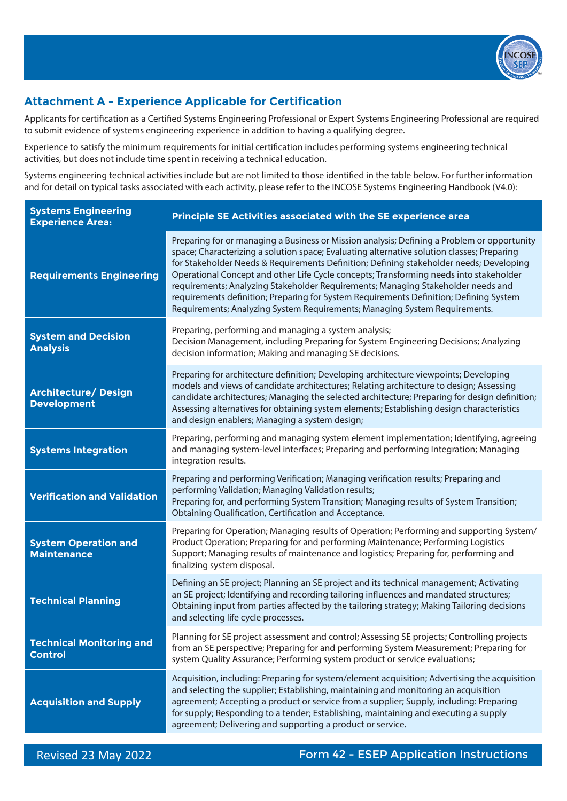

# **Attachment A - Experience Applicable for Certification**

Applicants for certification as a Certified Systems Engineering Professional or Expert Systems Engineering Professional are required to submit evidence of systems engineering experience in addition to having a qualifying degree.

Experience to satisfy the minimum requirements for initial certification includes performing systems engineering technical activities, but does not include time spent in receiving a technical education.

Systems engineering technical activities include but are not limited to those identified in the table below. For further information and for detail on typical tasks associated with each activity, please refer to the INCOSE Systems Engineering Handbook (V4.0):

| <b>Systems Engineering</b><br><b>Experience Area:</b> | Principle SE Activities associated with the SE experience area                                                                                                                                                                                                                                                                                                                                                                                                                                                                                                                                                                             |
|-------------------------------------------------------|--------------------------------------------------------------------------------------------------------------------------------------------------------------------------------------------------------------------------------------------------------------------------------------------------------------------------------------------------------------------------------------------------------------------------------------------------------------------------------------------------------------------------------------------------------------------------------------------------------------------------------------------|
| <b>Requirements Engineering</b>                       | Preparing for or managing a Business or Mission analysis; Defining a Problem or opportunity<br>space; Characterizing a solution space; Evaluating alternative solution classes; Preparing<br>for Stakeholder Needs & Requirements Definition; Defining stakeholder needs; Developing<br>Operational Concept and other Life Cycle concepts; Transforming needs into stakeholder<br>requirements; Analyzing Stakeholder Requirements; Managing Stakeholder needs and<br>requirements definition; Preparing for System Requirements Definition; Defining System<br>Requirements; Analyzing System Requirements; Managing System Requirements. |
| <b>System and Decision</b><br><b>Analysis</b>         | Preparing, performing and managing a system analysis;<br>Decision Management, including Preparing for System Engineering Decisions; Analyzing<br>decision information; Making and managing SE decisions.                                                                                                                                                                                                                                                                                                                                                                                                                                   |
| Architecture/ Design<br><b>Development</b>            | Preparing for architecture definition; Developing architecture viewpoints; Developing<br>models and views of candidate architectures; Relating architecture to design; Assessing<br>candidate architectures; Managing the selected architecture; Preparing for design definition;<br>Assessing alternatives for obtaining system elements; Establishing design characteristics<br>and design enablers; Managing a system design;                                                                                                                                                                                                           |
| <b>Systems Integration</b>                            | Preparing, performing and managing system element implementation; Identifying, agreeing<br>and managing system-level interfaces; Preparing and performing Integration; Managing<br>integration results.                                                                                                                                                                                                                                                                                                                                                                                                                                    |
| <b>Verification and Validation</b>                    | Preparing and performing Verification; Managing verification results; Preparing and<br>performing Validation; Managing Validation results;<br>Preparing for, and performing System Transition; Managing results of System Transition;<br>Obtaining Qualification, Certification and Acceptance.                                                                                                                                                                                                                                                                                                                                            |
| <b>System Operation and</b><br><b>Maintenance</b>     | Preparing for Operation; Managing results of Operation; Performing and supporting System/<br>Product Operation; Preparing for and performing Maintenance; Performing Logistics<br>Support; Managing results of maintenance and logistics; Preparing for, performing and<br>finalizing system disposal.                                                                                                                                                                                                                                                                                                                                     |
| <b>Technical Planning</b>                             | Defining an SE project; Planning an SE project and its technical management; Activating<br>an SE project; Identifying and recording tailoring influences and mandated structures;<br>Obtaining input from parties affected by the tailoring strategy; Making Tailoring decisions<br>and selecting life cycle processes.                                                                                                                                                                                                                                                                                                                    |
| <b>Technical Monitoring and</b><br><b>Control</b>     | Planning for SE project assessment and control; Assessing SE projects; Controlling projects<br>from an SE perspective; Preparing for and performing System Measurement; Preparing for<br>system Quality Assurance; Performing system product or service evaluations;                                                                                                                                                                                                                                                                                                                                                                       |
| <b>Acquisition and Supply</b>                         | Acquisition, including: Preparing for system/element acquisition; Advertising the acquisition<br>and selecting the supplier; Establishing, maintaining and monitoring an acquisition<br>agreement; Accepting a product or service from a supplier; Supply, including: Preparing<br>for supply; Responding to a tender; Establishing, maintaining and executing a supply<br>agreement; Delivering and supporting a product or service.                                                                                                                                                                                                      |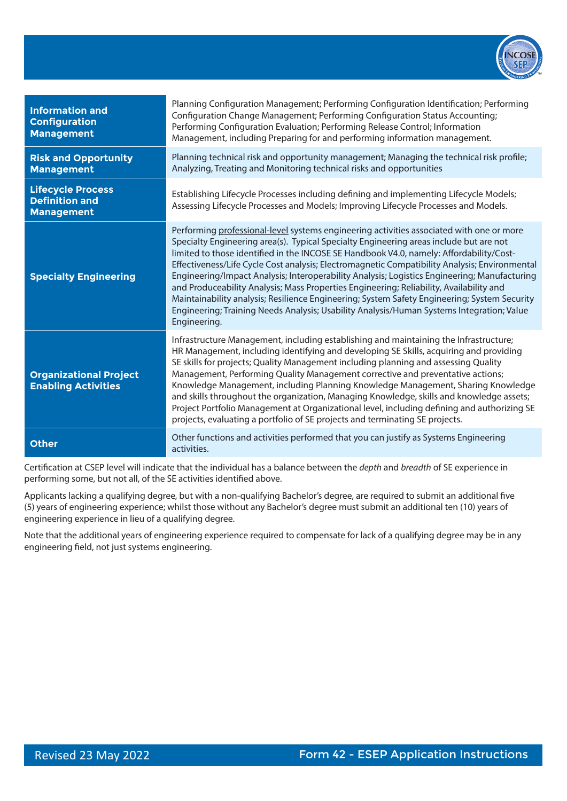

| <b>Information and</b><br><b>Configuration</b><br><b>Management</b>    | Planning Configuration Management; Performing Configuration Identification; Performing<br>Configuration Change Management; Performing Configuration Status Accounting;<br>Performing Configuration Evaluation; Performing Release Control; Information<br>Management, including Preparing for and performing information management.                                                                                                                                                                                                                                                                                                                                                                                                                                                   |
|------------------------------------------------------------------------|----------------------------------------------------------------------------------------------------------------------------------------------------------------------------------------------------------------------------------------------------------------------------------------------------------------------------------------------------------------------------------------------------------------------------------------------------------------------------------------------------------------------------------------------------------------------------------------------------------------------------------------------------------------------------------------------------------------------------------------------------------------------------------------|
| <b>Risk and Opportunity</b><br><b>Management</b>                       | Planning technical risk and opportunity management; Managing the technical risk profile;<br>Analyzing, Treating and Monitoring technical risks and opportunities                                                                                                                                                                                                                                                                                                                                                                                                                                                                                                                                                                                                                       |
| <b>Lifecycle Process</b><br><b>Definition and</b><br><b>Management</b> | Establishing Lifecycle Processes including defining and implementing Lifecycle Models;<br>Assessing Lifecycle Processes and Models; Improving Lifecycle Processes and Models.                                                                                                                                                                                                                                                                                                                                                                                                                                                                                                                                                                                                          |
| <b>Specialty Engineering</b>                                           | Performing professional-level systems engineering activities associated with one or more<br>Specialty Engineering area(s). Typical Specialty Engineering areas include but are not<br>limited to those identified in the INCOSE SE Handbook V4.0, namely: Affordability/Cost-<br>Effectiveness/Life Cycle Cost analysis; Electromagnetic Compatibility Analysis; Environmental<br>Engineering/Impact Analysis; Interoperability Analysis; Logistics Engineering; Manufacturing<br>and Produceability Analysis; Mass Properties Engineering; Reliability, Availability and<br>Maintainability analysis; Resilience Engineering; System Safety Engineering; System Security<br>Engineering; Training Needs Analysis; Usability Analysis/Human Systems Integration; Value<br>Engineering. |
| <b>Organizational Project</b><br><b>Enabling Activities</b>            | Infrastructure Management, including establishing and maintaining the Infrastructure;<br>HR Management, including identifying and developing SE Skills, acquiring and providing<br>SE skills for projects; Quality Management including planning and assessing Quality<br>Management, Performing Quality Management corrective and preventative actions;<br>Knowledge Management, including Planning Knowledge Management, Sharing Knowledge<br>and skills throughout the organization, Managing Knowledge, skills and knowledge assets;<br>Project Portfolio Management at Organizational level, including defining and authorizing SE<br>projects, evaluating a portfolio of SE projects and terminating SE projects.                                                                |
| <b>Other</b>                                                           | Other functions and activities performed that you can justify as Systems Engineering<br>activities.                                                                                                                                                                                                                                                                                                                                                                                                                                                                                                                                                                                                                                                                                    |

Certification at CSEP level will indicate that the individual has a balance between the *depth* and *breadth* of SE experience in performing some, but not all, of the SE activities identified above.

Applicants lacking a qualifying degree, but with a non-qualifying Bachelor's degree, are required to submit an additional five (5) years of engineering experience; whilst those without any Bachelor's degree must submit an additional ten (10) years of engineering experience in lieu of a qualifying degree.

Note that the additional years of engineering experience required to compensate for lack of a qualifying degree may be in any engineering field, not just systems engineering.